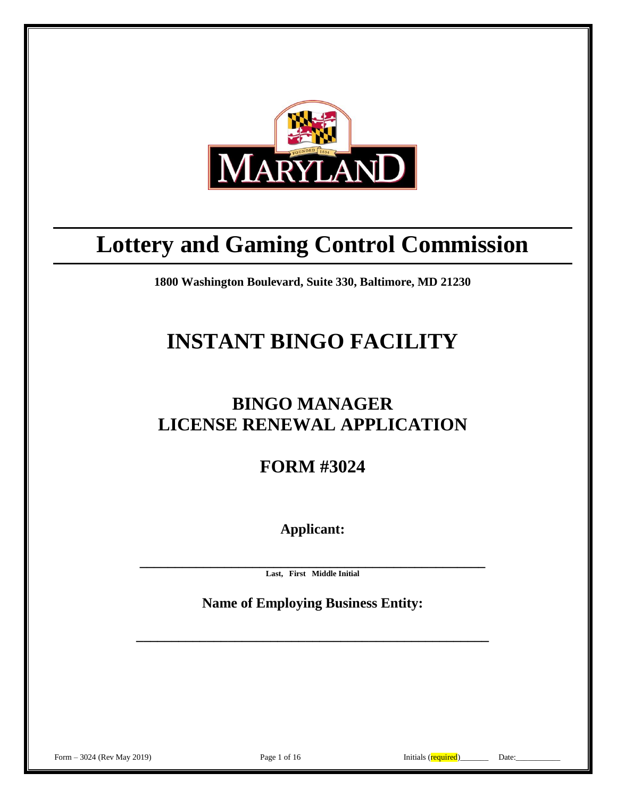

# **Lottery and Gaming Control Commission**

**1800 Washington Boulevard, Suite 330, Baltimore, MD 21230**

# **INSTANT BINGO FACILITY**

# **BINGO MANAGER LICENSE RENEWAL APPLICATION**

**FORM #3024**

**Applicant:**

**\_\_\_\_\_\_\_\_\_\_\_\_\_\_\_\_\_\_\_\_\_\_\_\_\_\_\_\_\_\_\_\_\_\_\_\_\_\_\_\_\_\_\_\_\_\_\_\_\_ Last, First Middle Initial**

**Name of Employing Business Entity:**

**\_\_\_\_\_\_\_\_\_\_\_\_\_\_\_\_\_\_\_\_\_\_\_\_\_\_\_\_\_\_\_\_\_\_\_\_\_\_\_\_\_\_\_\_\_\_\_\_\_\_**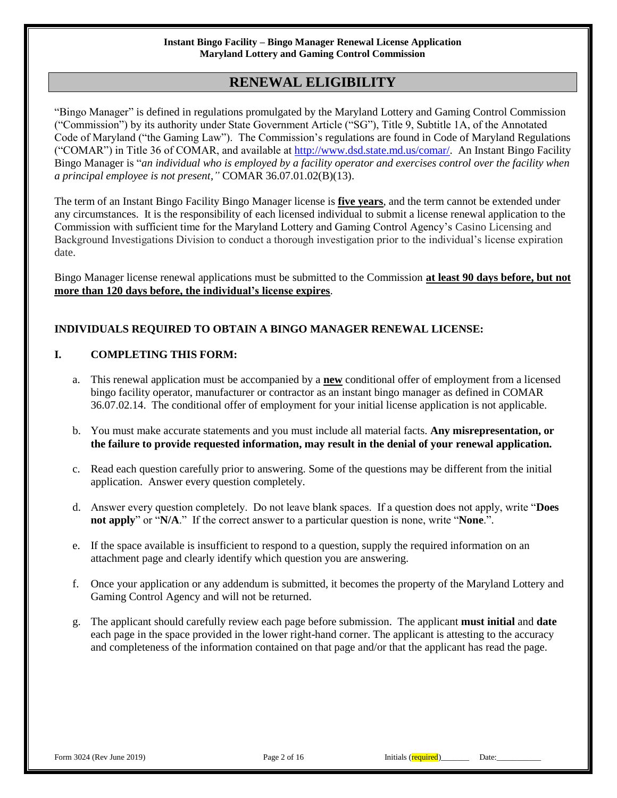# **RENEWAL ELIGIBILITY**

"Bingo Manager" is defined in regulations promulgated by the Maryland Lottery and Gaming Control Commission ("Commission") by its authority under State Government Article ("SG"), Title 9, Subtitle 1A, of the Annotated Code of Maryland ("the Gaming Law"). The Commission's regulations are found in Code of Maryland Regulations ("COMAR") in Title 36 of COMAR, and available at [http://www.dsd.state.md.us/comar/.](http://www.dsd.state.md.us/comar/) An Instant Bingo Facility Bingo Manager is "*an individual who is employed by a facility operator and exercises control over the facility when a principal employee is not present*,*"* COMAR 36.07.01.02(B)(13).

The term of an Instant Bingo Facility Bingo Manager license is **five years**, and the term cannot be extended under any circumstances. It is the responsibility of each licensed individual to submit a license renewal application to the Commission with sufficient time for the Maryland Lottery and Gaming Control Agency's Casino Licensing and Background Investigations Division to conduct a thorough investigation prior to the individual's license expiration date.

Bingo Manager license renewal applications must be submitted to the Commission **at least 90 days before, but not more than 120 days before, the individual's license expires**.

## **INDIVIDUALS REQUIRED TO OBTAIN A BINGO MANAGER RENEWAL LICENSE:**

### **I. COMPLETING THIS FORM:**

- a. This renewal application must be accompanied by a **new** conditional offer of employment from a licensed bingo facility operator, manufacturer or contractor as an instant bingo manager as defined in COMAR 36.07.02.14. The conditional offer of employment for your initial license application is not applicable.
- b. You must make accurate statements and you must include all material facts. **Any misrepresentation, or the failure to provide requested information, may result in the denial of your renewal application.**
- c. Read each question carefully prior to answering. Some of the questions may be different from the initial application. Answer every question completely.
- d. Answer every question completely. Do not leave blank spaces. If a question does not apply, write "**Does not apply**" or "**N/A**." If the correct answer to a particular question is none, write "**None**.".
- e. If the space available is insufficient to respond to a question, supply the required information on an attachment page and clearly identify which question you are answering.
- f. Once your application or any addendum is submitted, it becomes the property of the Maryland Lottery and Gaming Control Agency and will not be returned.
- g. The applicant should carefully review each page before submission. The applicant **must initial** and **date** each page in the space provided in the lower right-hand corner. The applicant is attesting to the accuracy and completeness of the information contained on that page and/or that the applicant has read the page.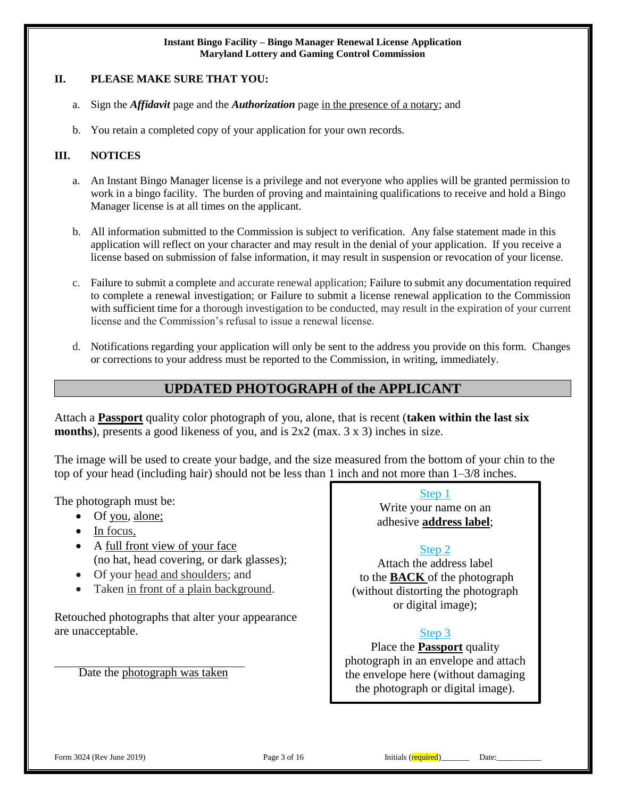#### **II. PLEASE MAKE SURE THAT YOU:**

- a. Sign the *Affidavit* page and the *Authorization* page in the presence of a notary; and
- b. You retain a completed copy of your application for your own records.

### **III. NOTICES**

- a. An Instant Bingo Manager license is a privilege and not everyone who applies will be granted permission to work in a bingo facility. The burden of proving and maintaining qualifications to receive and hold a Bingo Manager license is at all times on the applicant.
- b. All information submitted to the Commission is subject to verification. Any false statement made in this application will reflect on your character and may result in the denial of your application. If you receive a license based on submission of false information, it may result in suspension or revocation of your license.
- c. Failure to submit a complete and accurate renewal application; Failure to submit any documentation required to complete a renewal investigation; or Failure to submit a license renewal application to the Commission with sufficient time for a thorough investigation to be conducted, may result in the expiration of your current license and the Commission's refusal to issue a renewal license.
- d. Notifications regarding your application will only be sent to the address you provide on this form. Changes or corrections to your address must be reported to the Commission, in writing, immediately.

# **UPDATED PHOTOGRAPH of the APPLICANT**

Attach a **Passport** quality color photograph of you, alone, that is recent (**taken within the last six months**), presents a good likeness of you, and is 2x2 (max. 3 x 3) inches in size.

The image will be used to create your badge, and the size measured from the bottom of your chin to the top of your head (including hair) should not be less than 1 inch and not more than 1–3/8 inches.

The photograph must be:

- Of you, alone;
- $\bullet$  In focus,
- A full front view of your face (no hat, head covering, or dark glasses);
- Of your head and shoulders; and
- Taken in front of a plain background.

Retouched photographs that alter your appearance are unacceptable.

Date the photograph was taken

Step 1 Write your name on an

adhesive **address label**;

## Step 2

Attach the address label to the **BACK** of the photograph (without distorting the photograph or digital image);

## Step 3

Place the **Passport** quality photograph in an envelope and attach the envelope here (without damaging the photograph or digital image).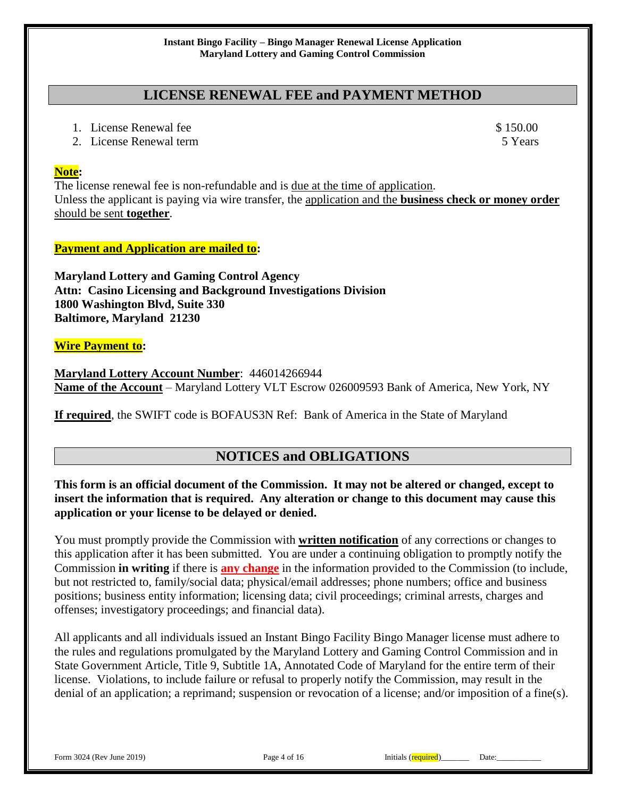# **LICENSE RENEWAL FEE and PAYMENT METHOD**

- 1. License Renewal fee \$ 150.00
- 2. License Renewal term 5 Years 3 Sears 5 Years 3 Sears 5 Years 3 Sears 5 Years 3 Sears 3 Sears 3 Sears 3 Sears 3 Sears 3 Sears 3 Sears 3 Sears 3 Sears 3 Sears 3 Sears 3 Sears 3 Sears 3 Sears 3 Sears 3 Sears 3 Sears 3 Sear

## **Note:**

The license renewal fee is non-refundable and is due at the time of application. Unless the applicant is paying via wire transfer, the application and the **business check or money order** should be sent **together**.

# **Payment and Application are mailed to:**

**Maryland Lottery and Gaming Control Agency Attn: Casino Licensing and Background Investigations Division 1800 Washington Blvd, Suite 330 Baltimore, Maryland 21230**

## **Wire Payment to:**

**Maryland Lottery Account Number**: 446014266944 **Name of the Account** – Maryland Lottery VLT Escrow 026009593 Bank of America, New York, NY

**If required**, the SWIFT code is BOFAUS3N Ref: Bank of America in the State of Maryland

# **NOTICES and OBLIGATIONS**

## **This form is an official document of the Commission. It may not be altered or changed, except to insert the information that is required. Any alteration or change to this document may cause this application or your license to be delayed or denied.**

You must promptly provide the Commission with **written notification** of any corrections or changes to this application after it has been submitted. You are under a continuing obligation to promptly notify the Commission **in writing** if there is **any change** in the information provided to the Commission (to include, but not restricted to, family/social data; physical/email addresses; phone numbers; office and business positions; business entity information; licensing data; civil proceedings; criminal arrests, charges and offenses; investigatory proceedings; and financial data).

All applicants and all individuals issued an Instant Bingo Facility Bingo Manager license must adhere to the rules and regulations promulgated by the Maryland Lottery and Gaming Control Commission and in State Government Article, Title 9, Subtitle 1A, Annotated Code of Maryland for the entire term of their license. Violations, to include failure or refusal to properly notify the Commission, may result in the denial of an application; a reprimand; suspension or revocation of a license; and/or imposition of a fine(s).

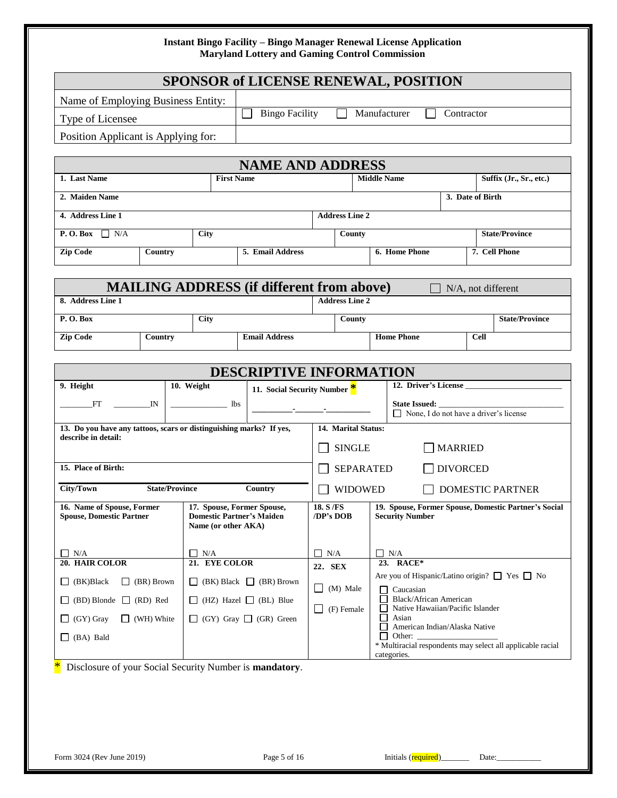|                                                                                            |                       |                     |                                                                |                       |                       |              | <b>SPONSOR of LICENSE RENEWAL, POSITION</b>                                         |            |                         |                       |
|--------------------------------------------------------------------------------------------|-----------------------|---------------------|----------------------------------------------------------------|-----------------------|-----------------------|--------------|-------------------------------------------------------------------------------------|------------|-------------------------|-----------------------|
| Name of Employing Business Entity:                                                         |                       |                     |                                                                |                       |                       |              |                                                                                     |            |                         |                       |
| Type of Licensee                                                                           |                       |                     | <b>Bingo Facility</b>                                          |                       |                       |              | Manufacturer                                                                        | Contractor |                         |                       |
| Position Applicant is Applying for:                                                        |                       |                     |                                                                |                       |                       |              |                                                                                     |            |                         |                       |
|                                                                                            |                       |                     |                                                                |                       |                       |              |                                                                                     |            |                         |                       |
|                                                                                            |                       |                     | <b>NAME AND ADDRESS</b>                                        |                       |                       |              |                                                                                     |            |                         |                       |
| 1. Last Name                                                                               |                       | <b>First Name</b>   |                                                                |                       |                       |              | <b>Middle Name</b>                                                                  |            | Suffix (Jr., Sr., etc.) |                       |
| 2. Maiden Name                                                                             |                       |                     |                                                                |                       |                       |              |                                                                                     |            | 3. Date of Birth        |                       |
| 4. Address Line 1                                                                          |                       |                     |                                                                |                       | <b>Address Line 2</b> |              |                                                                                     |            |                         |                       |
| <b>P.O.Box</b> $\Box$ N/A                                                                  |                       | <b>City</b>         |                                                                |                       | County                |              |                                                                                     |            | <b>State/Province</b>   |                       |
| <b>Zip Code</b>                                                                            | Country               |                     | 5. Email Address                                               |                       |                       |              | 6. Home Phone                                                                       |            | 7. Cell Phone           |                       |
|                                                                                            |                       |                     |                                                                |                       |                       |              |                                                                                     |            |                         |                       |
|                                                                                            |                       |                     | <b>MAILING ADDRESS (if different from above)</b>               |                       |                       |              |                                                                                     |            | N/A, not different      |                       |
| 8. Address Line 1                                                                          |                       |                     |                                                                |                       | <b>Address Line 2</b> |              |                                                                                     |            |                         |                       |
| P.O.Box                                                                                    |                       | <b>City</b>         |                                                                |                       | County                |              |                                                                                     |            |                         | <b>State/Province</b> |
| <b>Zip Code</b>                                                                            | Country               |                     | <b>Email Address</b>                                           |                       |                       |              | <b>Home Phone</b>                                                                   |            | <b>Cell</b>             |                       |
|                                                                                            |                       |                     |                                                                |                       |                       |              |                                                                                     |            |                         |                       |
| 9. Height                                                                                  | 10. Weight            |                     | <b>DESCRIPTIVE INFORMATION</b><br>11. Social Security Number * |                       |                       |              | 12. Driver's License                                                                |            |                         |                       |
| FT<br>$\mathbb{N}$                                                                         |                       | $\frac{1}{1}$ lbs   |                                                                |                       |                       |              | State Issued:                                                                       |            |                         |                       |
|                                                                                            |                       |                     |                                                                |                       |                       |              | None, I do not have a driver's license                                              |            |                         |                       |
| 13. Do you have any tattoos, scars or distinguishing marks? If yes,<br>describe in detail: |                       |                     |                                                                |                       | 14. Marital Status:   |              |                                                                                     |            |                         |                       |
|                                                                                            |                       |                     |                                                                |                       | <b>SINGLE</b>         |              | <b>MARRIED</b>                                                                      |            |                         |                       |
| 15. Place of Birth:                                                                        |                       |                     |                                                                |                       | <b>SEPARATED</b>      |              | <b>DIVORCED</b>                                                                     |            |                         |                       |
| <b>City/Town</b>                                                                           | <b>State/Province</b> |                     | Country                                                        |                       | <b>WIDOWED</b>        |              |                                                                                     |            | <b>DOMESTIC PARTNER</b> |                       |
| 16. Name of Spouse, Former<br><b>Spouse, Domestic Partner</b>                              |                       | Name (or other AKA) | 17. Spouse, Former Spouse,<br><b>Domestic Partner's Maiden</b> | 18. S/FS<br>/DP's DOB |                       |              | 19. Spouse, Former Spouse, Domestic Partner's Social<br><b>Security Number</b>      |            |                         |                       |
| $\Box$ N/A                                                                                 |                       | $\Box$ N/A          |                                                                | $\Box$ N/A            |                       |              | $\Box$ N/A                                                                          |            |                         |                       |
| 20. HAIR COLOR                                                                             |                       | 21. EYE COLOR       |                                                                | 22. SEX               |                       |              | 23. RACE*<br>Are you of Hispanic/Latino origin? □ Yes □ No                          |            |                         |                       |
| (BK)Black<br>$\Box$ (BR) Brown<br>ப                                                        | $\Box$                |                     | $(BK)$ Black $\Box$ (BR) Brown                                 | $\Box$ (M) Male       |                       | $\mathsf{L}$ | Caucasian                                                                           |            |                         |                       |
| $(BD)$ Blonde $\Box$ (RD) Red                                                              | Ш                     |                     | (HZ) Hazel $\Box$ (BL) Blue                                    | $\Box$ (F) Female     |                       |              | Black/African American<br>Native Hawaiian/Pacific Islander                          |            |                         |                       |
| $\Box$ (GY) Gray<br>$\Box$ (WH) White                                                      |                       |                     | $\Box$ (GY) Gray $\Box$ (GR) Green                             |                       |                       | $\mathsf{L}$ | Asian<br>American Indian/Alaska Native                                              |            |                         |                       |
| (BA) Bald<br>$\Box$                                                                        |                       |                     |                                                                |                       |                       |              | Other:<br>* Multiracial respondents may select all applicable racial<br>categories. |            |                         |                       |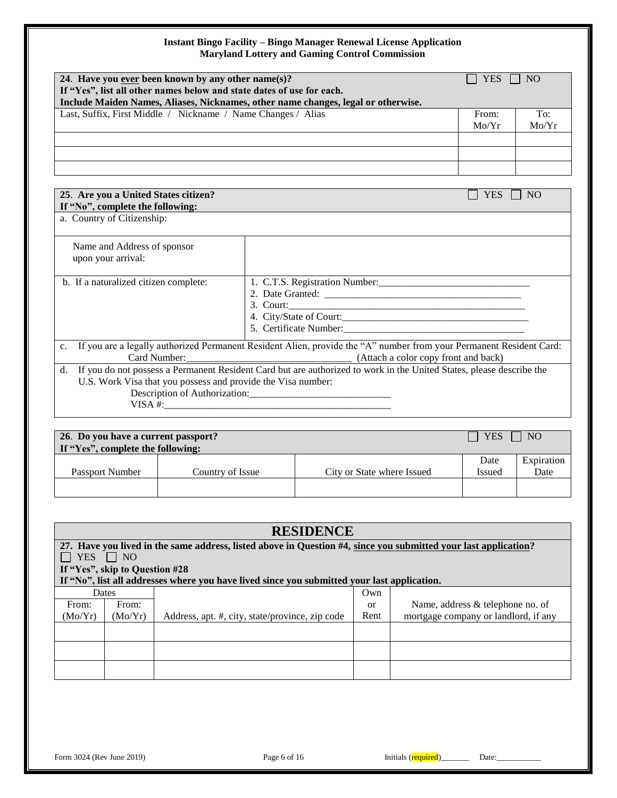| 24. Have you ever been known by any other name(s)?                                |                                                                                                                      | <b>YES</b> | N <sub>O</sub> |  |  |
|-----------------------------------------------------------------------------------|----------------------------------------------------------------------------------------------------------------------|------------|----------------|--|--|
| If "Yes", list all other names below and state dates of use for each.             |                                                                                                                      |            |                |  |  |
| Include Maiden Names, Aliases, Nicknames, other name changes, legal or otherwise. |                                                                                                                      |            |                |  |  |
| Last, Suffix, First Middle / Nickname / Name Changes / Alias                      |                                                                                                                      | From:      | To:            |  |  |
|                                                                                   |                                                                                                                      | Mo/Yr      | Mo/Yr          |  |  |
|                                                                                   |                                                                                                                      |            |                |  |  |
|                                                                                   |                                                                                                                      |            |                |  |  |
|                                                                                   |                                                                                                                      |            |                |  |  |
|                                                                                   |                                                                                                                      |            |                |  |  |
| 25. Are you a United States citizen?                                              |                                                                                                                      | <b>YES</b> | N <sub>O</sub> |  |  |
| If "No", complete the following:                                                  |                                                                                                                      |            |                |  |  |
| a. Country of Citizenship:                                                        |                                                                                                                      |            |                |  |  |
|                                                                                   |                                                                                                                      |            |                |  |  |
| Name and Address of sponsor                                                       |                                                                                                                      |            |                |  |  |
| upon your arrival:                                                                |                                                                                                                      |            |                |  |  |
|                                                                                   |                                                                                                                      |            |                |  |  |
| b. If a naturalized citizen complete:                                             |                                                                                                                      |            |                |  |  |
|                                                                                   |                                                                                                                      |            |                |  |  |
|                                                                                   | 3. Court:                                                                                                            |            |                |  |  |
|                                                                                   |                                                                                                                      |            |                |  |  |
|                                                                                   |                                                                                                                      |            |                |  |  |
| $\mathbf{c}$ .                                                                    | If you are a legally authorized Permanent Resident Alien, provide the "A" number from your Permanent Resident Card:  |            |                |  |  |
|                                                                                   |                                                                                                                      |            |                |  |  |
| $d_{\cdot}$<br>U.S. Work Visa that you possess and provide the Visa number:       | If you do not possess a Permanent Resident Card but are authorized to work in the United States, please describe the |            |                |  |  |
|                                                                                   |                                                                                                                      |            |                |  |  |
|                                                                                   |                                                                                                                      |            |                |  |  |
|                                                                                   |                                                                                                                      |            |                |  |  |

| 26. Do you have a current passport?<br><b>YES</b><br>$\mathbf{I}$<br>If "Yes", complete the following: |                  |                            |                       | NO <sub>1</sub>    |
|--------------------------------------------------------------------------------------------------------|------------------|----------------------------|-----------------------|--------------------|
| <b>Passport Number</b>                                                                                 | Country of Issue | City or State where Issued | Date<br><b>Issued</b> | Expiration<br>Date |
|                                                                                                        |                  |                            |                       |                    |

| <b>RESIDENCE</b> |                                                                                                                 |                                                                                             |      |                                      |  |  |  |
|------------------|-----------------------------------------------------------------------------------------------------------------|---------------------------------------------------------------------------------------------|------|--------------------------------------|--|--|--|
|                  | 27. Have you lived in the same address, listed above in Question #4, since you submitted your last application? |                                                                                             |      |                                      |  |  |  |
|                  | YES NO                                                                                                          |                                                                                             |      |                                      |  |  |  |
|                  | If "Yes", skip to Question #28                                                                                  |                                                                                             |      |                                      |  |  |  |
|                  |                                                                                                                 | If "No", list all addresses where you have lived since you submitted your last application. |      |                                      |  |  |  |
|                  | Dates                                                                                                           |                                                                                             | Own  |                                      |  |  |  |
| From:            | From:                                                                                                           |                                                                                             | or   | Name, address & telephone no. of     |  |  |  |
| (Mo/Yr)          | (Mo/Yr)                                                                                                         | Address, apt. #, city, state/province, zip code                                             | Rent | mortgage company or landlord, if any |  |  |  |
|                  |                                                                                                                 |                                                                                             |      |                                      |  |  |  |
|                  |                                                                                                                 |                                                                                             |      |                                      |  |  |  |
|                  |                                                                                                                 |                                                                                             |      |                                      |  |  |  |
|                  |                                                                                                                 |                                                                                             |      |                                      |  |  |  |
|                  |                                                                                                                 |                                                                                             |      |                                      |  |  |  |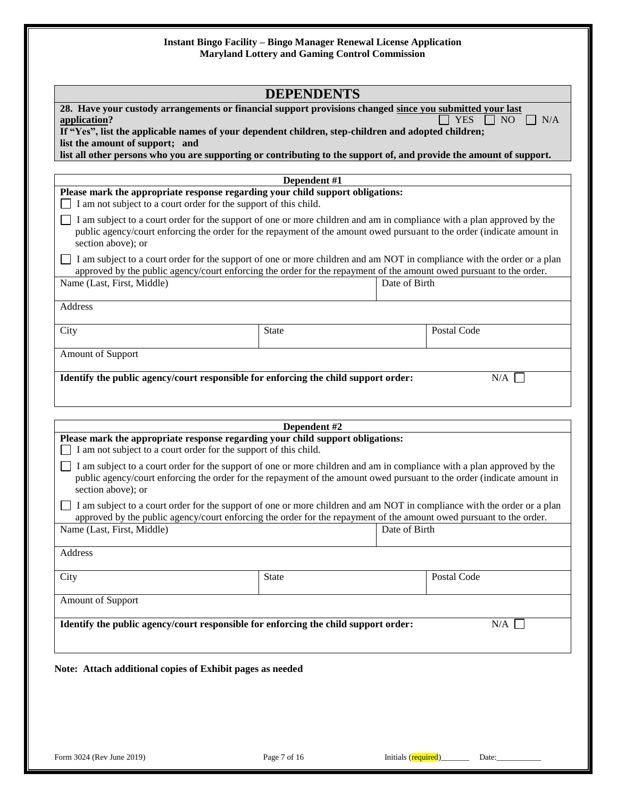|                                                                                                                                                                                                                                                                                                                                                                                           | <b>DEPENDENTS</b> |                                                                                                                                                                                                                                                  |
|-------------------------------------------------------------------------------------------------------------------------------------------------------------------------------------------------------------------------------------------------------------------------------------------------------------------------------------------------------------------------------------------|-------------------|--------------------------------------------------------------------------------------------------------------------------------------------------------------------------------------------------------------------------------------------------|
| 28. Have your custody arrangements or financial support provisions changed since you submitted your last<br>application?<br>If "Yes", list the applicable names of your dependent children, step-children and adopted children;<br>list the amount of support; and<br>list all other persons who you are supporting or contributing to the support of, and provide the amount of support. |                   | <b>YES</b><br>N <sub>O</sub><br>$\neg N/A$                                                                                                                                                                                                       |
|                                                                                                                                                                                                                                                                                                                                                                                           | Dependent #1      |                                                                                                                                                                                                                                                  |
| Please mark the appropriate response regarding your child support obligations:<br>I am not subject to a court order for the support of this child.                                                                                                                                                                                                                                        |                   |                                                                                                                                                                                                                                                  |
| section above); or                                                                                                                                                                                                                                                                                                                                                                        |                   | I am subject to a court order for the support of one or more children and am in compliance with a plan approved by the<br>public agency/court enforcing the order for the repayment of the amount owed pursuant to the order (indicate amount in |
|                                                                                                                                                                                                                                                                                                                                                                                           |                   | I am subject to a court order for the support of one or more children and am NOT in compliance with the order or a plan<br>approved by the public agency/court enforcing the order for the repayment of the amount owed pursuant to the order.   |
| Name (Last, First, Middle)                                                                                                                                                                                                                                                                                                                                                                |                   | Date of Birth                                                                                                                                                                                                                                    |
| Address                                                                                                                                                                                                                                                                                                                                                                                   |                   |                                                                                                                                                                                                                                                  |
| City                                                                                                                                                                                                                                                                                                                                                                                      | <b>State</b>      | Postal Code                                                                                                                                                                                                                                      |
| Amount of Support                                                                                                                                                                                                                                                                                                                                                                         |                   |                                                                                                                                                                                                                                                  |
|                                                                                                                                                                                                                                                                                                                                                                                           | Dependent #2      |                                                                                                                                                                                                                                                  |
| Please mark the appropriate response regarding your child support obligations:<br>I am not subject to a court order for the support of this child.                                                                                                                                                                                                                                        |                   |                                                                                                                                                                                                                                                  |
| section above); or                                                                                                                                                                                                                                                                                                                                                                        |                   | I am subject to a court order for the support of one or more children and am in compliance with a plan approved by the<br>public agency/court enforcing the order for the repayment of the amount owed pursuant to the order (indicate amount in |
|                                                                                                                                                                                                                                                                                                                                                                                           |                   | I am subject to a court order for the support of one or more children and am NOT in compliance with the order or a plan<br>approved by the public agency/court enforcing the order for the repayment of the amount owed pursuant to the order.   |
| Name (Last, First, Middle)                                                                                                                                                                                                                                                                                                                                                                |                   | Date of Birth                                                                                                                                                                                                                                    |
| Address                                                                                                                                                                                                                                                                                                                                                                                   |                   |                                                                                                                                                                                                                                                  |
|                                                                                                                                                                                                                                                                                                                                                                                           |                   |                                                                                                                                                                                                                                                  |
| City                                                                                                                                                                                                                                                                                                                                                                                      | <b>State</b>      | Postal Code                                                                                                                                                                                                                                      |
| Amount of Support                                                                                                                                                                                                                                                                                                                                                                         |                   |                                                                                                                                                                                                                                                  |
| Identify the public agency/court responsible for enforcing the child support order:                                                                                                                                                                                                                                                                                                       |                   | N/A                                                                                                                                                                                                                                              |
| Note: Attach additional copies of Exhibit pages as needed                                                                                                                                                                                                                                                                                                                                 |                   |                                                                                                                                                                                                                                                  |
|                                                                                                                                                                                                                                                                                                                                                                                           |                   |                                                                                                                                                                                                                                                  |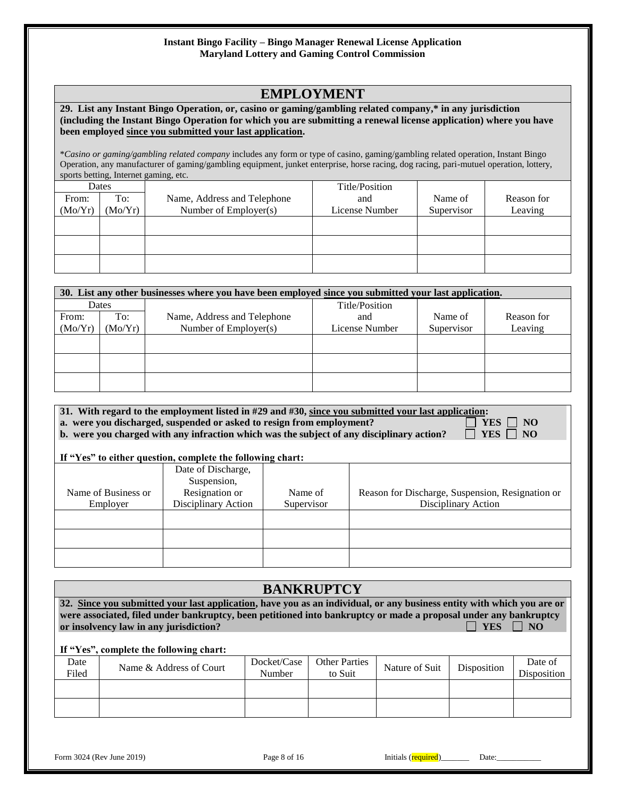# **EMPLOYMENT**

#### **29. List any Instant Bingo Operation, or, casino or gaming/gambling related company,\* in any jurisdiction (including the Instant Bingo Operation for which you are submitting a renewal license application) where you have been employed since you submitted your last application.**

\**Casino or gaming/gambling related company* includes any form or type of casino, gaming/gambling related operation, Instant Bingo Operation, any manufacturer of gaming/gambling equipment, junket enterprise, horse racing, dog racing, pari-mutuel operation, lottery, sports betting, Internet gaming, etc.

|         | Dates   |                             | Title/Position |            |            |
|---------|---------|-----------------------------|----------------|------------|------------|
| From:   | To:     | Name, Address and Telephone | and            | Name of    | Reason for |
| (Mo/Yr) | (Mo/Yr) | Number of Employer(s)       | License Number | Supervisor | Leaving    |
|         |         |                             |                |            |            |
|         |         |                             |                |            |            |
|         |         |                             |                |            |            |
|         |         |                             |                |            |            |
|         |         |                             |                |            |            |
|         |         |                             |                |            |            |

|         | 30. List any other businesses where you have been employed since you submitted your last application. |                             |                |            |            |  |  |
|---------|-------------------------------------------------------------------------------------------------------|-----------------------------|----------------|------------|------------|--|--|
|         | Dates                                                                                                 |                             | Title/Position |            |            |  |  |
| From:   | To:                                                                                                   | Name, Address and Telephone | and            | Name of    | Reason for |  |  |
| (Mo/Yr) | (Mo/Yr)                                                                                               | Number of $Emplover(s)$     | License Number | Supervisor | Leaving    |  |  |
|         |                                                                                                       |                             |                |            |            |  |  |
|         |                                                                                                       |                             |                |            |            |  |  |
|         |                                                                                                       |                             |                |            |            |  |  |
|         |                                                                                                       |                             |                |            |            |  |  |
|         |                                                                                                       |                             |                |            |            |  |  |
|         |                                                                                                       |                             |                |            |            |  |  |

| 31. With regard to the employment listed in #29 and #30, since you submitted your last application: |                      |
|-----------------------------------------------------------------------------------------------------|----------------------|
| a. were you discharged, suspended or asked to resign from employment?                               | $ $ YES $ $ $ $ NO   |
| b. were you charged with any infraction which was the subject of any disciplinary action?           | $\Box$ YES $\Box$ NO |
|                                                                                                     |                      |

#### **If "Yes" to either question, complete the following chart:**

|                     |                                   | -          |                                                  |
|---------------------|-----------------------------------|------------|--------------------------------------------------|
|                     | Date of Discharge,<br>Suspension, |            |                                                  |
| Name of Business or | Resignation or                    | Name of    | Reason for Discharge, Suspension, Resignation or |
| Employer            | Disciplinary Action               | Supervisor | Disciplinary Action                              |
|                     |                                   |            |                                                  |
|                     |                                   |            |                                                  |
|                     |                                   |            |                                                  |

## **BANKRUPTCY**

**32. Since you submitted your last application, have you as an individual, or any business entity with which you are or were associated, filed under bankruptcy, been petitioned into bankruptcy or made a proposal under any bankruptcy or insolvency law in any jurisdiction?** The set of the set of the set of the set of the set of the set of the set of the set of the set of the set of the set of the set of the set of the set of the set of the set of the s

#### **If "Yes", complete the following chart:**

| Date<br>Filed | Name & Address of Court | Docket/Case<br>Number | <b>Other Parties</b><br>to Suit | Nature of Suit | Disposition | Date of<br>Disposition |
|---------------|-------------------------|-----------------------|---------------------------------|----------------|-------------|------------------------|
|               |                         |                       |                                 |                |             |                        |
|               |                         |                       |                                 |                |             |                        |

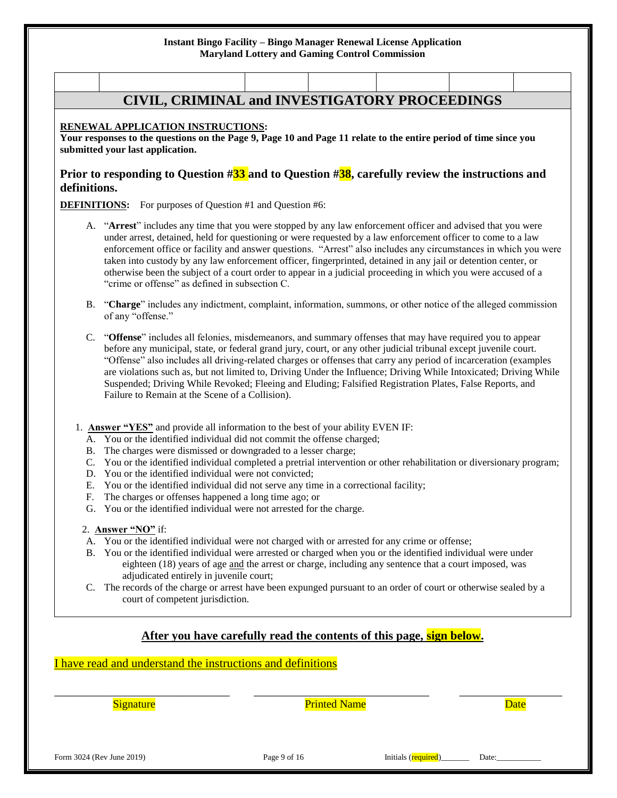# **CIVIL, CRIMINAL and INVESTIGATORY PROCEEDINGS**

#### **RENEWAL APPLICATION INSTRUCTIONS:**

**Your responses to the questions on the Page 9, Page 10 and Page 11 relate to the entire period of time since you submitted your last application.**

#### **Prior to responding to Question #33 and to Question #38, carefully review the instructions and definitions.**

**DEFINITIONS:** For purposes of Question #1 and Question #6:

- A. "**Arrest**" includes any time that you were stopped by any law enforcement officer and advised that you were under arrest, detained, held for questioning or were requested by a law enforcement officer to come to a law enforcement office or facility and answer questions. "Arrest" also includes any circumstances in which you were taken into custody by any law enforcement officer, fingerprinted, detained in any jail or detention center, or otherwise been the subject of a court order to appear in a judicial proceeding in which you were accused of a "crime or offense" as defined in subsection C.
- B. "**Charge**" includes any indictment, complaint, information, summons, or other notice of the alleged commission of any "offense."
- C. "**Offense**" includes all felonies, misdemeanors, and summary offenses that may have required you to appear before any municipal, state, or federal grand jury, court, or any other judicial tribunal except juvenile court. "Offense" also includes all driving-related charges or offenses that carry any period of incarceration (examples are violations such as, but not limited to, Driving Under the Influence; Driving While Intoxicated; Driving While Suspended; Driving While Revoked; Fleeing and Eluding; Falsified Registration Plates, False Reports, and Failure to Remain at the Scene of a Collision).
- 1. **Answer "YES"** and provide all information to the best of your ability EVEN IF:
	- A. You or the identified individual did not commit the offense charged;
	- B. The charges were dismissed or downgraded to a lesser charge;
	- C. You or the identified individual completed a pretrial intervention or other rehabilitation or diversionary program;
	- D. You or the identified individual were not convicted;
	- E. You or the identified individual did not serve any time in a correctional facility;
	- F. The charges or offenses happened a long time ago; or
	- G. You or the identified individual were not arrested for the charge.

#### 2. **Answer "NO"** if:

- A. You or the identified individual were not charged with or arrested for any crime or offense;
- B. You or the identified individual were arrested or charged when you or the identified individual were under eighteen (18) years of age and the arrest or charge, including any sentence that a court imposed, was adjudicated entirely in juvenile court;
- C. The records of the charge or arrest have been expunged pursuant to an order of court or otherwise sealed by a court of competent jurisdiction.

### **After you have carefully read the contents of this page, sign below.**

I have read and understand the instructions and definitions

| <b>Signature</b>          | <b>Printed Name</b> |                     | <b>Date</b> |
|---------------------------|---------------------|---------------------|-------------|
|                           |                     |                     |             |
|                           |                     |                     |             |
|                           |                     |                     |             |
| Form 3024 (Rev June 2019) | Page 9 of 16        | Initials (required) | Date:       |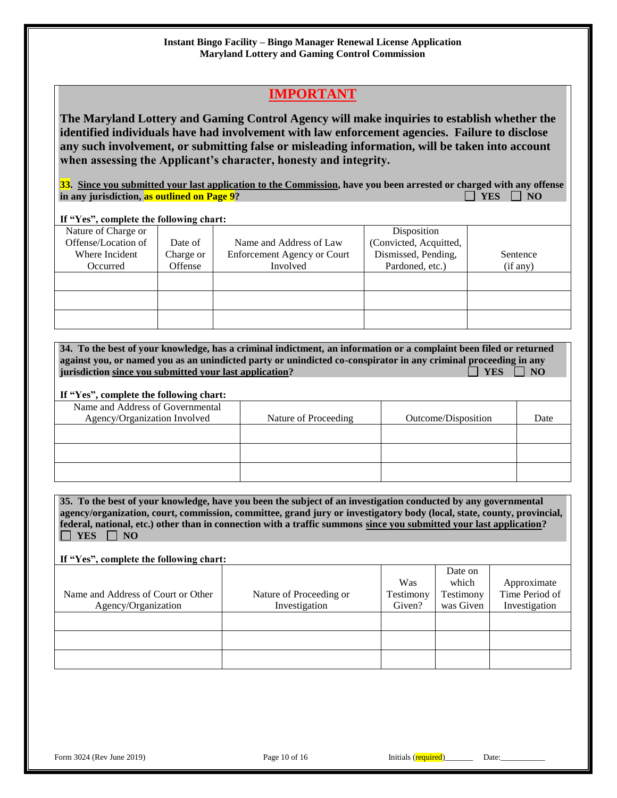# **IMPORTANT**

**The Maryland Lottery and Gaming Control Agency will make inquiries to establish whether the identified individuals have had involvement with law enforcement agencies. Failure to disclose any such involvement, or submitting false or misleading information, will be taken into account when assessing the Applicant's character, honesty and integrity.**

**33.** Since you submitted your last application to the Commission, have you been arrested or charged with any offense in any jurisdiction, as outlined on Page 9? in any jurisdiction, as outlined on Page 9?

#### **If "Yes", complete the following chart:**

| Nature of Charge or |           |                                    | Disposition            |          |
|---------------------|-----------|------------------------------------|------------------------|----------|
| Offense/Location of | Date of   | Name and Address of Law            | (Convicted, Acquitted, |          |
| Where Incident      | Charge or | <b>Enforcement Agency or Court</b> | Dismissed, Pending,    | Sentence |
| Occurred            | Offense   | Involved                           | Pardoned, etc.)        | (if any) |
|                     |           |                                    |                        |          |
|                     |           |                                    |                        |          |
|                     |           |                                    |                        |          |
|                     |           |                                    |                        |          |
|                     |           |                                    |                        |          |
|                     |           |                                    |                        |          |

| 34. To the best of your knowledge, has a criminal indictment, an information or a complaint been filed or returned |                      |
|--------------------------------------------------------------------------------------------------------------------|----------------------|
| against you, or named you as an unindicted party or unindicted co-conspirator in any criminal proceeding in any    |                      |
| jurisdiction since you submitted your last application?                                                            | $\Box$ YES $\Box$ NO |

#### **If "Yes", complete the following chart:**

| Name and Address of Governmental<br>Agency/Organization Involved | Nature of Proceeding | Outcome/Disposition | Date |
|------------------------------------------------------------------|----------------------|---------------------|------|
|                                                                  |                      |                     |      |
|                                                                  |                      |                     |      |
|                                                                  |                      |                     |      |

**35. To the best of your knowledge, have you been the subject of an investigation conducted by any governmental agency/organization, court, commission, committee, grand jury or investigatory body (local, state, county, provincial, federal, national, etc.) other than in connection with a traffic summons since you submitted your last application?**   $\Box$  YES  $\Box$  NO

#### **If "Yes", complete the following chart:**

|                                    |                         | Was       | Date on<br>which | Approximate    |
|------------------------------------|-------------------------|-----------|------------------|----------------|
| Name and Address of Court or Other | Nature of Proceeding or | Testimony | Testimony        | Time Period of |
| Agency/Organization                | Investigation           | Given?    | was Given        | Investigation  |
|                                    |                         |           |                  |                |
|                                    |                         |           |                  |                |
|                                    |                         |           |                  |                |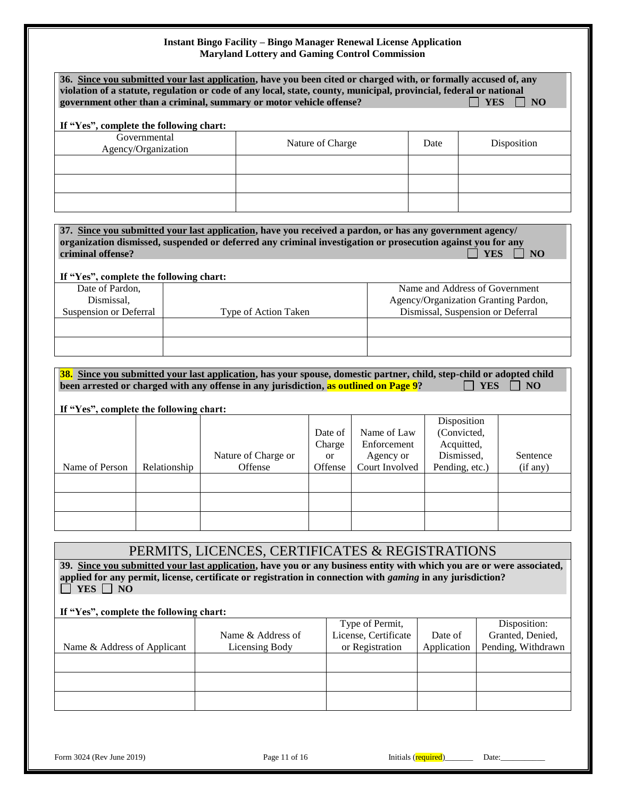|                                                              |                                     | 36. Since you submitted your last application, have you been cited or charged with, or formally accused of, any<br>violation of a statute, regulation or code of any local, state, county, municipal, provincial, federal or national<br>government other than a criminal, summary or motor vehicle offense? |                  |                                               |                                                            |                                                                          | <b>YES</b> | <b>NO</b>                                              |
|--------------------------------------------------------------|-------------------------------------|--------------------------------------------------------------------------------------------------------------------------------------------------------------------------------------------------------------------------------------------------------------------------------------------------------------|------------------|-----------------------------------------------|------------------------------------------------------------|--------------------------------------------------------------------------|------------|--------------------------------------------------------|
| If "Yes", complete the following chart:                      |                                     |                                                                                                                                                                                                                                                                                                              |                  |                                               |                                                            |                                                                          |            |                                                        |
|                                                              | Governmental<br>Agency/Organization |                                                                                                                                                                                                                                                                                                              | Nature of Charge |                                               |                                                            | Date                                                                     |            | Disposition                                            |
|                                                              |                                     |                                                                                                                                                                                                                                                                                                              |                  |                                               |                                                            |                                                                          |            |                                                        |
|                                                              |                                     |                                                                                                                                                                                                                                                                                                              |                  |                                               |                                                            |                                                                          |            |                                                        |
| criminal offense?<br>If "Yes", complete the following chart: |                                     | 37. Since you submitted your last application, have you received a pardon, or has any government agency/<br>organization dismissed, suspended or deferred any criminal investigation or prosecution against you for any                                                                                      |                  |                                               |                                                            |                                                                          | <b>YES</b> | N <sub>O</sub>                                         |
| Date of Pardon,<br>Dismissal,                                |                                     |                                                                                                                                                                                                                                                                                                              |                  |                                               |                                                            | Name and Address of Government<br>Agency/Organization Granting Pardon,   |            |                                                        |
| Suspension or Deferral                                       |                                     | Type of Action Taken                                                                                                                                                                                                                                                                                         |                  |                                               |                                                            | Dismissal, Suspension or Deferral                                        |            |                                                        |
|                                                              |                                     |                                                                                                                                                                                                                                                                                                              |                  |                                               |                                                            |                                                                          |            |                                                        |
| If "Yes", complete the following chart:                      |                                     | 38. Since you submitted your last application, has your spouse, domestic partner, child, step-child or adopted child<br>been arrested or charged with any offense in any jurisdiction, as outlined on Page 9?                                                                                                |                  |                                               |                                                            |                                                                          | YES        | <b>NO</b>                                              |
| Name of Person                                               | Relationship                        | Nature of Charge or<br>Offense                                                                                                                                                                                                                                                                               |                  | Date of<br>Charge<br><sub>or</sub><br>Offense | Name of Law<br>Enforcement<br>Agency or<br>Court Involved  | Disposition<br>(Convicted,<br>Acquitted,<br>Dismissed,<br>Pending, etc.) |            | Sentence<br>(if any)                                   |
|                                                              |                                     | PERMITS, LICENCES, CERTIFICATES & REGISTRATIONS                                                                                                                                                                                                                                                              |                  |                                               |                                                            |                                                                          |            |                                                        |
| YES<br><b>NO</b>                                             |                                     | 39. Since you submitted your last application, have you or any business entity with which you are or were associated,<br>applied for any permit, license, certificate or registration in connection with <i>gaming</i> in any jurisdiction?                                                                  |                  |                                               |                                                            |                                                                          |            |                                                        |
| If "Yes", complete the following chart:                      | Name & Address of Applicant         | Name & Address of<br><b>Licensing Body</b>                                                                                                                                                                                                                                                                   |                  |                                               | Type of Permit,<br>License, Certificate<br>or Registration | Date of<br>Application                                                   |            | Disposition:<br>Granted, Denied,<br>Pending, Withdrawn |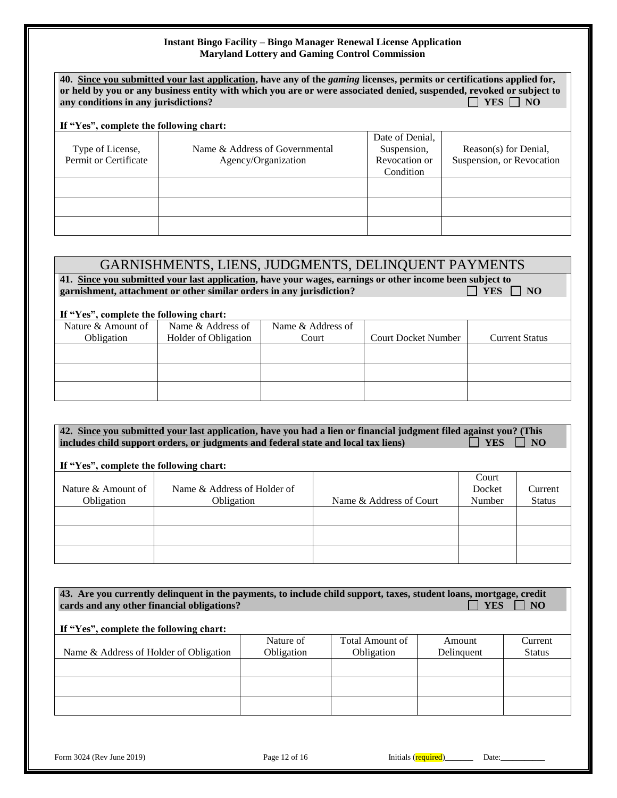| 40. Since you submitted your last application, have any of the <i>gaming</i> licenses, permits or certifications applied for,<br>or held by you or any business entity with which you are or were associated denied, suspended, revoked or subject to<br>YES     NO<br>any conditions in any jurisdictions?<br>If "Yes", complete the following chart: |                                                       |                                                              |                                                    |  |  |
|--------------------------------------------------------------------------------------------------------------------------------------------------------------------------------------------------------------------------------------------------------------------------------------------------------------------------------------------------------|-------------------------------------------------------|--------------------------------------------------------------|----------------------------------------------------|--|--|
| Type of License,<br>Permit or Certificate                                                                                                                                                                                                                                                                                                              | Name & Address of Governmental<br>Agency/Organization | Date of Denial.<br>Suspension,<br>Revocation or<br>Condition | Reason(s) for Denial,<br>Suspension, or Revocation |  |  |
|                                                                                                                                                                                                                                                                                                                                                        |                                                       |                                                              |                                                    |  |  |

# GARNISHMENTS, LIENS, JUDGMENTS, DELINQUENT PAYMENTS

41. Since you submitted your last application, have your wages, earnings or other income been subject to garnishment, attachment or other similar orders in any jurisdiction? garnishment, attachment or other similar orders in any jurisdiction?

#### **If "Yes", complete the following chart:**

| $\mathbf{r}$ and $\mathbf{r}$ are $\mathbf{r}$ and $\mathbf{r}$ and $\mathbf{r}$ and $\mathbf{r}$ |                      |                   |                            |                       |
|---------------------------------------------------------------------------------------------------|----------------------|-------------------|----------------------------|-----------------------|
| Nature & Amount of                                                                                | Name & Address of    | Name & Address of |                            |                       |
| Obligation                                                                                        | Holder of Obligation | Court             | <b>Court Docket Number</b> | <b>Current Status</b> |
|                                                                                                   |                      |                   |                            |                       |
|                                                                                                   |                      |                   |                            |                       |
|                                                                                                   |                      |                   |                            |                       |
|                                                                                                   |                      |                   |                            |                       |
|                                                                                                   |                      |                   |                            |                       |
|                                                                                                   |                      |                   |                            |                       |

**42. Since you submitted your last application, have you had a lien or financial judgment filed against you? (This includes child support orders, or judgments and federal state and local tax liens)** YES  $\Box$  YES  $\Box$  NO

#### **If "Yes", complete the following chart:**

|                    |                             |                         | Court  |               |
|--------------------|-----------------------------|-------------------------|--------|---------------|
| Nature & Amount of | Name & Address of Holder of |                         | Docket | Current       |
| Obligation         | Obligation                  | Name & Address of Court | Number | <b>Status</b> |
|                    |                             |                         |        |               |
|                    |                             |                         |        |               |
|                    |                             |                         |        |               |
|                    |                             |                         |        |               |
|                    |                             |                         |        |               |
|                    |                             |                         |        |               |

| 43. Are you currently delinquent in the payments, to include child support, taxes, student loans, mortgage, credit<br>cards and any other financial obligations?<br>If "Yes", complete the following chart: |            |                 | <b>YES</b> | N <sub>O</sub> |
|-------------------------------------------------------------------------------------------------------------------------------------------------------------------------------------------------------------|------------|-----------------|------------|----------------|
|                                                                                                                                                                                                             | Nature of  | Total Amount of | Amount     | Current        |
| Name & Address of Holder of Obligation                                                                                                                                                                      | Obligation | Obligation      | Delinquent | <b>Status</b>  |
|                                                                                                                                                                                                             |            |                 |            |                |
|                                                                                                                                                                                                             |            |                 |            |                |
|                                                                                                                                                                                                             |            |                 |            |                |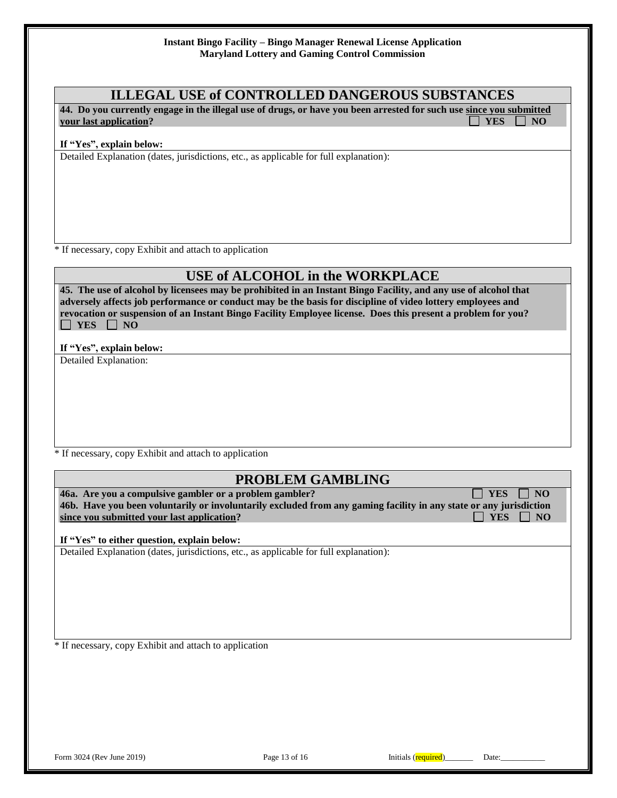## **ILLEGAL USE of CONTROLLED DANGEROUS SUBSTANCES**

**44. Do you currently engage in the illegal use of drugs, or have you been arrested for such use since you submitted**  *your last application?* **The set of the set of the set of the set of the set of the set of the set of the set of the set of the set of the set of the set of the set of the set of the set of the set of the set of the set o** 

#### **If "Yes", explain below:**

Detailed Explanation (dates, jurisdictions, etc., as applicable for full explanation):

\* If necessary, copy Exhibit and attach to application

# **USE of ALCOHOL in the WORKPLACE**

**45. The use of alcohol by licensees may be prohibited in an Instant Bingo Facility, and any use of alcohol that adversely affects job performance or conduct may be the basis for discipline of video lottery employees and revocation or suspension of an Instant Bingo Facility Employee license. Does this present a problem for you?**   $\Box$  YES  $\Box$  NO

**If "Yes", explain below:**

Detailed Explanation:

\* If necessary, copy Exhibit and attach to application

## **PROBLEM GAMBLING**

**46a.** Are you a compulsive gambler or a problem gambler?  $\Box$  YES  $\Box$  NO **46b. Have you been voluntarily or involuntarily excluded from any gaming facility in any state or any jurisdiction since you submitted your last application?** All the state of the state of the state of the state of the state of the state of the state of the state of the state of the state of the state of the state of the state of the

**If "Yes" to either question, explain below:**

Detailed Explanation (dates, jurisdictions, etc., as applicable for full explanation):

\* If necessary, copy Exhibit and attach to application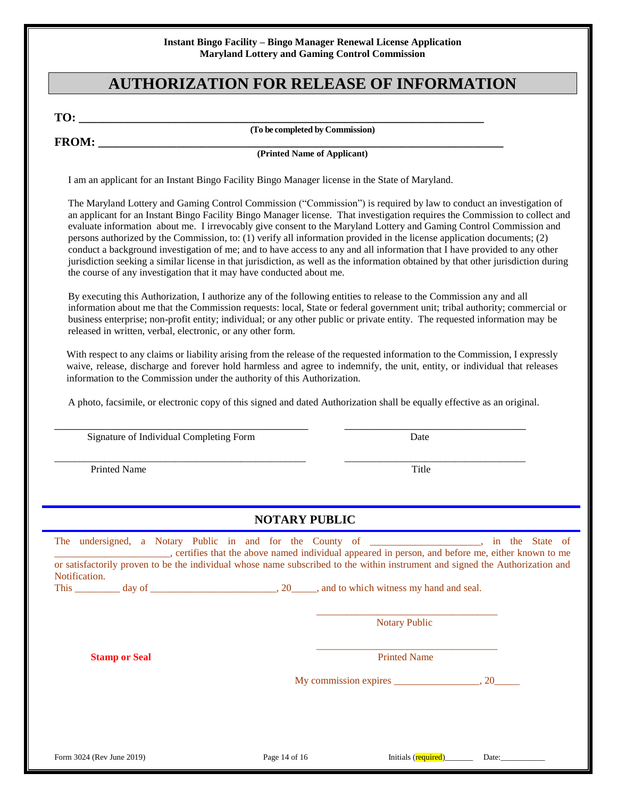# **AUTHORIZATION FOR RELEASE OF INFORMATION**

**TO: \_\_\_\_\_\_\_\_\_\_\_\_\_\_\_\_\_\_\_\_\_\_\_\_\_\_\_\_\_\_\_\_\_\_\_\_\_\_\_\_\_\_\_\_\_\_\_\_\_\_\_\_\_\_\_\_\_\_\_\_\_\_\_\_\_\_\_**

**(To be completed by Commission)**

**FROM: \_\_\_\_\_\_\_\_\_\_\_\_\_\_\_\_\_\_\_\_\_\_\_\_\_\_\_\_\_\_\_\_\_\_\_\_\_\_\_\_\_\_\_\_\_\_\_\_\_\_\_\_\_\_\_\_\_\_\_\_\_\_\_\_\_\_\_**

**(Printed Name of Applicant)**

I am an applicant for an Instant Bingo Facility Bingo Manager license in the State of Maryland.

The Maryland Lottery and Gaming Control Commission ("Commission") is required by law to conduct an investigation of an applicant for an Instant Bingo Facility Bingo Manager license. That investigation requires the Commission to collect and evaluate information about me. I irrevocably give consent to the Maryland Lottery and Gaming Control Commission and persons authorized by the Commission, to: (1) verify all information provided in the license application documents; (2) conduct a background investigation of me; and to have access to any and all information that I have provided to any other jurisdiction seeking a similar license in that jurisdiction, as well as the information obtained by that other jurisdiction during the course of any investigation that it may have conducted about me.

By executing this Authorization, I authorize any of the following entities to release to the Commission any and all information about me that the Commission requests: local, State or federal government unit; tribal authority; commercial or business enterprise; non-profit entity; individual; or any other public or private entity. The requested information may be released in written, verbal, electronic, or any other form.

With respect to any claims or liability arising from the release of the requested information to the Commission, I expressly waive, release, discharge and forever hold harmless and agree to indemnify, the unit, entity, or individual that releases information to the Commission under the authority of this Authorization.

A photo, facsimile, or electronic copy of this signed and dated Authorization shall be equally effective as an original.

\_\_\_\_\_\_\_\_\_\_\_\_\_\_\_\_\_\_\_\_\_\_\_\_\_\_\_\_\_\_\_\_\_\_\_\_\_\_\_\_\_\_ \_\_\_\_\_\_\_\_\_\_\_\_\_\_\_\_\_\_\_\_\_\_\_\_\_\_\_\_\_\_

\_\_\_\_\_\_\_\_\_\_\_\_\_\_\_\_\_\_\_\_\_\_\_\_\_\_\_\_\_\_\_\_\_\_\_\_\_\_\_\_\_\_\_\_\_\_\_\_\_\_ \_\_\_\_\_\_\_\_\_\_\_\_\_\_\_\_\_\_\_\_\_\_\_\_\_\_\_\_\_\_\_\_\_\_\_\_

|  | Signature of Individual Completing Form | Date |
|--|-----------------------------------------|------|
|  |                                         |      |

Printed Name Title

#### **NOTARY PUBLIC**

| The undersigned, a Notary Public in and for the County of |  |  |  |      |  |                                                                                                                               |  | in the State of |  |
|-----------------------------------------------------------|--|--|--|------|--|-------------------------------------------------------------------------------------------------------------------------------|--|-----------------|--|
|                                                           |  |  |  |      |  | certifies that the above named individual appeared in person, and before me, either known to me                               |  |                 |  |
|                                                           |  |  |  |      |  | or satisfactorily proven to be the individual whose name subscribed to the within instrument and signed the Authorization and |  |                 |  |
| Notification.                                             |  |  |  |      |  |                                                                                                                               |  |                 |  |
| <b>This</b><br>day of                                     |  |  |  | . 20 |  | _, and to which witness my hand and seal.                                                                                     |  |                 |  |
|                                                           |  |  |  |      |  |                                                                                                                               |  |                 |  |

Notary Public

 $\overline{\phantom{a}}$  ,  $\overline{\phantom{a}}$  ,  $\overline{\phantom{a}}$  ,  $\overline{\phantom{a}}$  ,  $\overline{\phantom{a}}$  ,  $\overline{\phantom{a}}$  ,  $\overline{\phantom{a}}$  ,  $\overline{\phantom{a}}$  ,  $\overline{\phantom{a}}$  ,  $\overline{\phantom{a}}$  ,  $\overline{\phantom{a}}$  ,  $\overline{\phantom{a}}$  ,  $\overline{\phantom{a}}$  ,  $\overline{\phantom{a}}$  ,  $\overline{\phantom{a}}$  ,  $\overline{\phantom{a}}$ 

 $\overline{\phantom{a}}$  ,  $\overline{\phantom{a}}$  ,  $\overline{\phantom{a}}$  ,  $\overline{\phantom{a}}$  ,  $\overline{\phantom{a}}$  ,  $\overline{\phantom{a}}$  ,  $\overline{\phantom{a}}$  ,  $\overline{\phantom{a}}$  ,  $\overline{\phantom{a}}$  ,  $\overline{\phantom{a}}$  ,  $\overline{\phantom{a}}$  ,  $\overline{\phantom{a}}$  ,  $\overline{\phantom{a}}$  ,  $\overline{\phantom{a}}$  ,  $\overline{\phantom{a}}$  ,  $\overline{\phantom{a}}$ 

**Stamp or Seal Printed Name Printed Name** 

My commission expires \_\_\_\_\_\_\_\_\_\_\_\_\_\_\_\_\_, 20\_\_\_\_\_

Form 3024 (Rev June 2019) Page 14 of 16 Initials (required) and Page 14 of 16 Initials (required)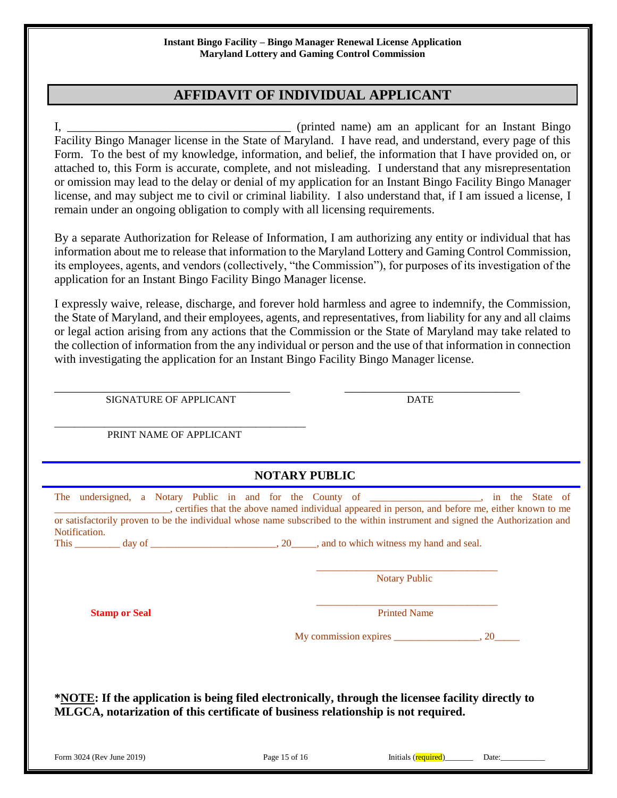# **AFFIDAVIT OF INDIVIDUAL APPLICANT**

I, \_\_\_\_\_\_\_\_\_\_\_\_\_\_\_\_\_\_\_\_\_\_\_\_\_\_\_\_\_\_\_\_\_\_\_\_\_ (printed name) am an applicant for an Instant Bingo Facility Bingo Manager license in the State of Maryland. I have read, and understand, every page of this Form. To the best of my knowledge, information, and belief, the information that I have provided on, or attached to, this Form is accurate, complete, and not misleading. I understand that any misrepresentation or omission may lead to the delay or denial of my application for an Instant Bingo Facility Bingo Manager license, and may subject me to civil or criminal liability. I also understand that, if I am issued a license, I remain under an ongoing obligation to comply with all licensing requirements.

By a separate Authorization for Release of Information, I am authorizing any entity or individual that has information about me to release that information to the Maryland Lottery and Gaming Control Commission, its employees, agents, and vendors (collectively, "the Commission"), for purposes of its investigation of the application for an Instant Bingo Facility Bingo Manager license.

I expressly waive, release, discharge, and forever hold harmless and agree to indemnify, the Commission, the State of Maryland, and their employees, agents, and representatives, from liability for any and all claims or legal action arising from any actions that the Commission or the State of Maryland may take related to the collection of information from the any individual or person and the use of that information in connection with investigating the application for an Instant Bingo Facility Bingo Manager license.

\_\_\_\_\_\_\_\_\_\_\_\_\_\_\_\_\_\_\_\_\_\_\_\_\_\_\_\_\_\_\_\_\_\_\_\_\_\_\_ \_\_\_\_\_\_\_\_\_\_\_\_\_\_\_\_\_\_\_\_\_\_\_\_\_\_\_\_\_

SIGNATURE OF APPLICANT DATE

\_\_\_\_\_\_\_\_\_\_\_\_\_\_\_\_\_\_\_\_\_\_\_\_\_\_\_\_\_\_\_\_\_\_\_\_\_\_\_\_\_\_\_\_\_\_\_\_\_\_ PRINT NAME OF APPLICANT

|                                                                                                                                                                                                                                                                                                                                                   | <b>NOTARY PUBLIC</b> |                           |  |
|---------------------------------------------------------------------------------------------------------------------------------------------------------------------------------------------------------------------------------------------------------------------------------------------------------------------------------------------------|----------------------|---------------------------|--|
| The undersigned, a Notary Public in and for the County of _________________, in the State of<br>certifies that the above named individual appeared in person, and before me, either known to me<br>or satisfactorily proven to be the individual whose name subscribed to the within instrument and signed the Authorization and<br>Notification. |                      |                           |  |
|                                                                                                                                                                                                                                                                                                                                                   |                      | <b>Notary Public</b>      |  |
| <b>Stamp or Seal</b>                                                                                                                                                                                                                                                                                                                              |                      | <b>Printed Name</b>       |  |
|                                                                                                                                                                                                                                                                                                                                                   |                      |                           |  |
|                                                                                                                                                                                                                                                                                                                                                   |                      |                           |  |
|                                                                                                                                                                                                                                                                                                                                                   |                      |                           |  |
| *NOTE: If the application is being filed electronically, through the licensee facility directly to<br>MLGCA, notarization of this certificate of business relationship is not required.                                                                                                                                                           |                      |                           |  |
| Form 3024 (Rev June 2019)                                                                                                                                                                                                                                                                                                                         | Page 15 of 16        | Initials (required)______ |  |